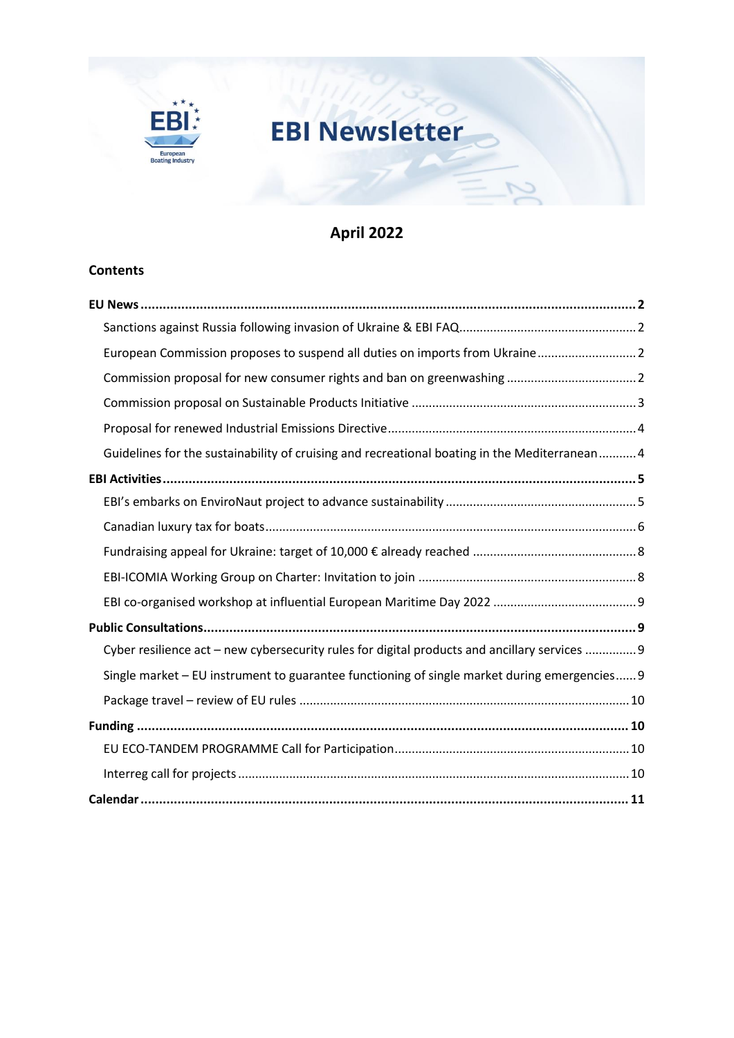

# **EBI Newsletter**

# **April 2022**

C

# **Contents**

| European Commission proposes to suspend all duties on imports from Ukraine 2                  |
|-----------------------------------------------------------------------------------------------|
|                                                                                               |
|                                                                                               |
|                                                                                               |
| Guidelines for the sustainability of cruising and recreational boating in the Mediterranean 4 |
|                                                                                               |
|                                                                                               |
|                                                                                               |
|                                                                                               |
|                                                                                               |
|                                                                                               |
|                                                                                               |
| Cyber resilience act - new cybersecurity rules for digital products and ancillary services  9 |
| Single market - EU instrument to guarantee functioning of single market during emergencies 9  |
|                                                                                               |
|                                                                                               |
|                                                                                               |
|                                                                                               |
|                                                                                               |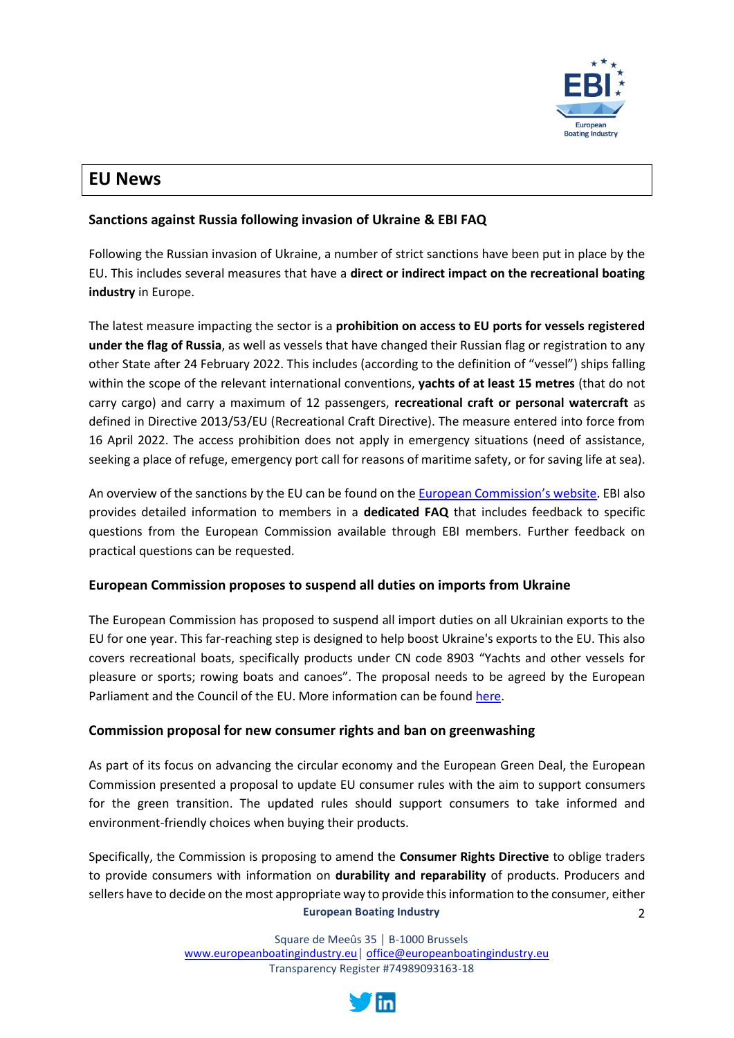

# <span id="page-1-0"></span>**EU News**

# <span id="page-1-1"></span>**Sanctions against Russia following invasion of Ukraine & EBI FAQ**

Following the Russian invasion of Ukraine, a number of strict sanctions have been put in place by the EU. This includes several measures that have a **direct or indirect impact on the recreational boating industry** in Europe.

The latest measure impacting the sector is a **prohibition on access to EU ports for vessels registered under the flag of Russia**, as well as vessels that have changed their Russian flag or registration to any other State after 24 February 2022. This includes (according to the definition of "vessel") ships falling within the scope of the relevant international conventions, **yachts of at least 15 metres** (that do not carry cargo) and carry a maximum of 12 passengers, **recreational craft or personal watercraft** as defined in Directive 2013/53/EU (Recreational Craft Directive). The measure entered into force from 16 April 2022. The access prohibition does not apply in emergency situations (need of assistance, seeking a place of refuge, emergency port call for reasons of maritime safety, or for saving life at sea).

An overview of the sanctions by the EU can be found on th[e European Commission](https://ec.europa.eu/info/business-economy-euro/banking-and-finance/international-relations/restrictive-measures-sanctions/sanctions-adopted-following-russias-military-aggression-against-ukraine_en#trade-customs)'s website. EBI also provides detailed information to members in a **dedicated FAQ** that includes feedback to specific questions from the European Commission available through EBI members. Further feedback on practical questions can be requested.

# <span id="page-1-2"></span>**European Commission proposes to suspend all duties on imports from Ukraine**

The European Commission has proposed to suspend all import duties on all Ukrainian exports to the EU for one year. This far-reaching step is designed to help boost Ukraine's exports to the EU. This also covers recreational boats, specifically products under CN code 8903 "Yachts and other vessels for pleasure or sports; rowing boats and canoes". The proposal needs to be agreed by the European Parliament and the Council of the EU. More information can be found [here.](https://ec.europa.eu/commission/presscorner/detail/en/IP_22_2671)

# <span id="page-1-3"></span>**Commission proposal for new consumer rights and ban on greenwashing**

As part of its focus on advancing the circular economy and the European Green Deal, the European Commission presented a proposal to update EU consumer rules with the aim to support consumers for the green transition. The updated rules should support consumers to take informed and environment-friendly choices when buying their products.

**European Boating Industry**  $\overline{\phantom{a}}$ Specifically, the Commission is proposing to amend the **Consumer Rights Directive** to oblige traders to provide consumers with information on **durability and reparability** of products. Producers and sellers have to decide on the most appropriate way to provide this information to the consumer, either

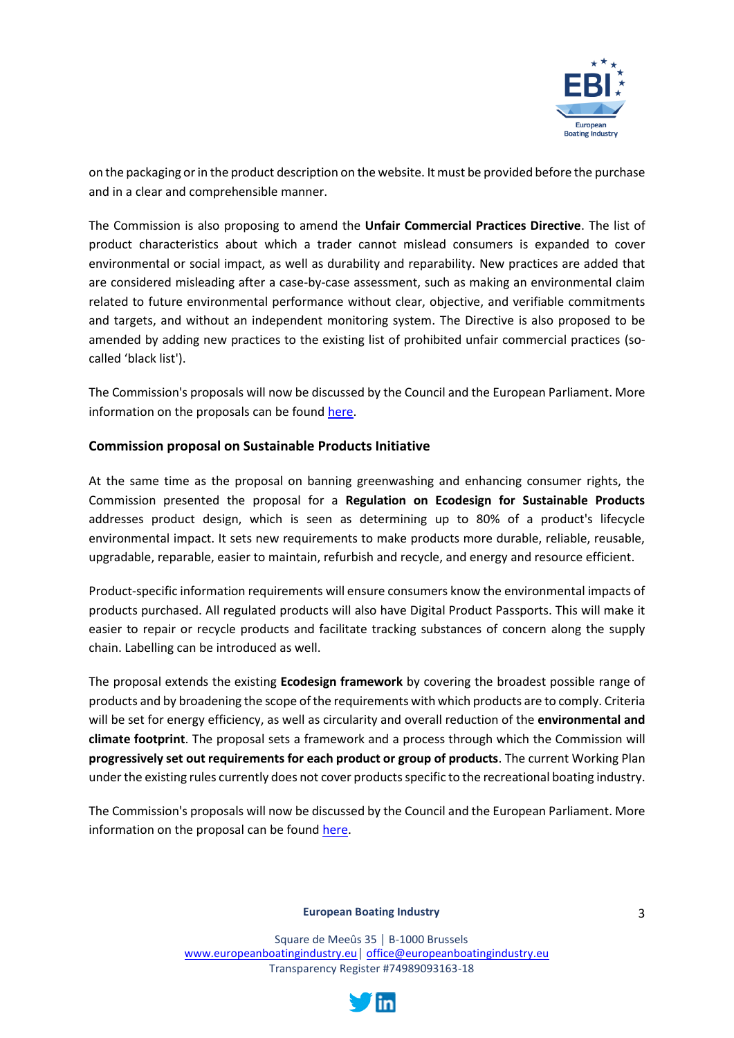

on the packaging or in the product description on the website. It must be provided before the purchase and in a clear and comprehensible manner.

The Commission is also proposing to amend the **Unfair Commercial Practices Directive**. The list of product characteristics about which a trader cannot mislead consumers is expanded to cover environmental or social impact, as well as durability and reparability. New practices are added that are considered misleading after a case-by-case assessment, such as making an environmental claim related to future environmental performance without clear, objective, and verifiable commitments and targets, and without an independent monitoring system. The Directive is also proposed to be amended by adding new practices to the existing list of prohibited unfair commercial practices (socalled 'black list').

The Commission's proposals will now be discussed by the Council and the European Parliament. More information on the proposals can be found [here.](https://ec.europa.eu/commission/presscorner/detail/en/ip_22_2098)

# <span id="page-2-0"></span>**Commission proposal on Sustainable Products Initiative**

At the same time as the proposal on banning greenwashing and enhancing consumer rights, the Commission presented the proposal for a **Regulation on Ecodesign for Sustainable Products** addresses product design, which is seen as determining up to 80% of a product's lifecycle environmental impact. It sets new requirements to make products more durable, reliable, reusable, upgradable, reparable, easier to maintain, refurbish and recycle, and energy and resource efficient.

Product-specific information requirements will ensure consumers know the environmental impacts of products purchased. All regulated products will also have Digital Product Passports. This will make it easier to repair or recycle products and facilitate tracking substances of concern along the supply chain. Labelling can be introduced as well.

The proposal extends the existing **Ecodesign framework** by covering the broadest possible range of products and by broadening the scope of the requirements with which products are to comply. Criteria will be set for energy efficiency, as well as circularity and overall reduction of the **environmental and climate footprint**. The proposal sets a framework and a process through which the Commission will **progressively set out requirements for each product or group of products**. The current Working Plan under the existing rules currently does not cover products specific to the recreational boating industry.

The Commission's proposals will now be discussed by the Council and the European Parliament. More information on the proposal can be foun[d here.](https://ec.europa.eu/commission/presscorner/detail/en/qanda_22_2014)

#### **European Boating Industry**

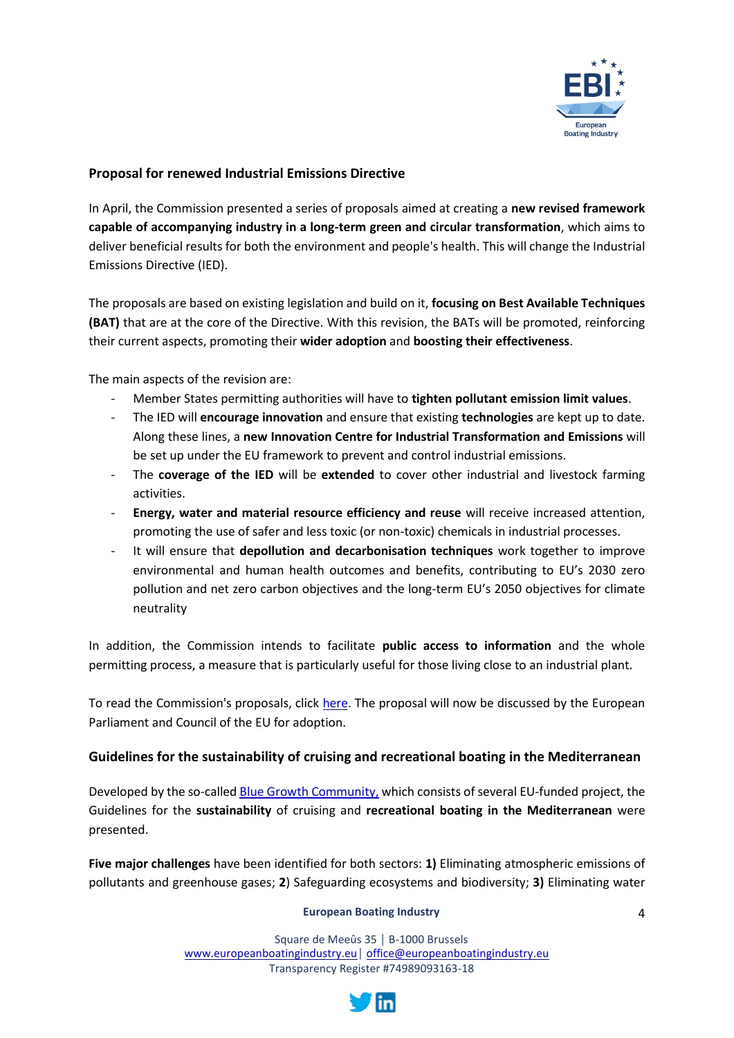

# <span id="page-3-0"></span>**Proposal for renewed Industrial Emissions Directive**

In April, the Commission presented a series of proposals aimed at creating a **new revised framework capable of accompanying industry in a long-term green and circular transformation**, which aims to deliver beneficial results for both the environment and people's health. This will change the Industrial Emissions Directive (IED).

The proposals are based on existing legislation and build on it, **focusing on Best Available Techniques (BAT)** that are at the core of the Directive. With this revision, the BATs will be promoted, reinforcing their current aspects, promoting their **wider adoption** and **boosting their effectiveness**.

The main aspects of the revision are:

- Member States permitting authorities will have to **tighten pollutant emission limit values**.
- The IED will **encourage innovation** and ensure that existing **technologies** are kept up to date. Along these lines, a **new Innovation Centre for Industrial Transformation and Emissions** will be set up under the EU framework to prevent and control industrial emissions.
- The **coverage of the IED** will be **extended** to cover other industrial and livestock farming activities.
- **Energy, water and material resource efficiency and reuse** will receive increased attention, promoting the use of safer and less toxic (or non-toxic) chemicals in industrial processes.
- It will ensure that depollution and decarbonisation techniques work together to improve environmental and human health outcomes and benefits, contributing to EU's 2030 zero pollution and net zero carbon objectives and the long-term EU's 2050 objectives for climate neutrality

In addition, the Commission intends to facilitate **public access to information** and the whole permitting process, a measure that is particularly useful for those living close to an industrial plant.

To read the Commission's proposals, click [here.](https://ec.europa.eu/environment/publications/proposal-revision-industrial-emissions-directive_en) The proposal will now be discussed by the European Parliament and Council of the EU for adoption.

# <span id="page-3-1"></span>**Guidelines for the sustainability of cruising and recreational boating in the Mediterranean**

Developed by the so-calle[d Blue Growth Community,](https://blue-growth.interreg-med.eu/) which consists of several EU-funded project, the Guidelines for the **sustainability** of cruising and **recreational boating in the Mediterranean** were presented.

**Five major challenges** have been identified for both sectors: **1)** Eliminating atmospheric emissions of pollutants and greenhouse gases; **2**) Safeguarding ecosystems and biodiversity; **3)** Eliminating water

#### **European Boating Industry**

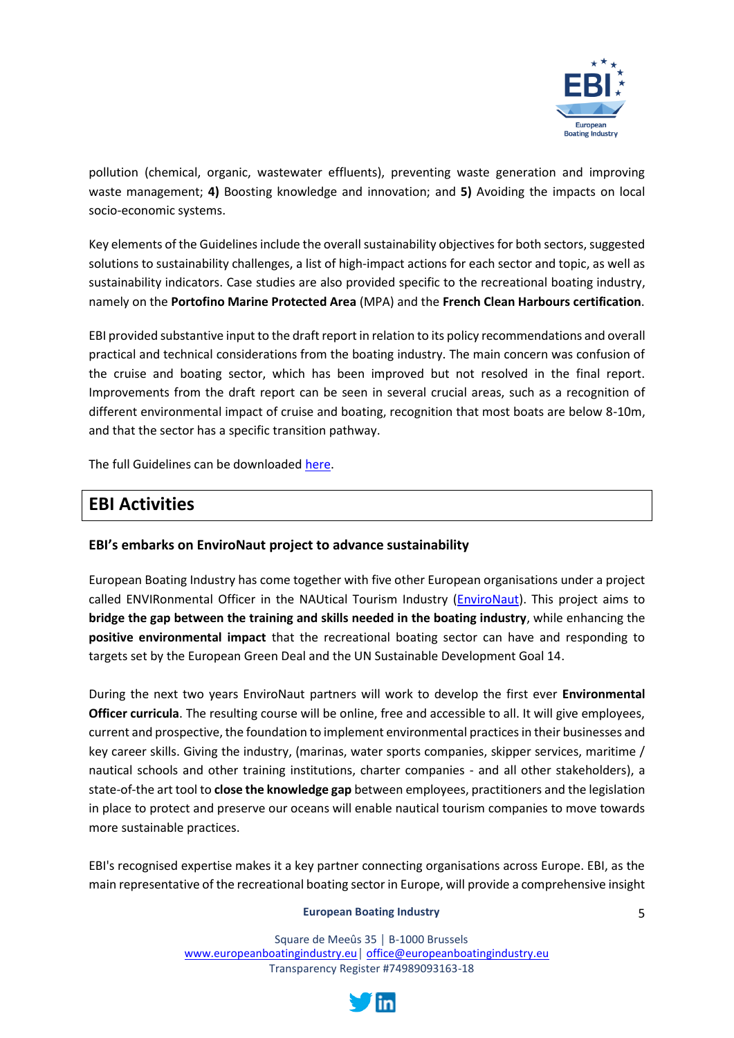

pollution (chemical, organic, wastewater effluents), preventing waste generation and improving waste management; **4)** Boosting knowledge and innovation; and **5)** Avoiding the impacts on local socio-economic systems.

Key elements of the Guidelines include the overall sustainability objectives for both sectors, suggested solutions to sustainability challenges, a list of high-impact actions for each sector and topic, as well as sustainability indicators. Case studies are also provided specific to the recreational boating industry, namely on the **Portofino Marine Protected Area** (MPA) and the **French Clean Harbours certification**.

EBI provided substantive input to the draft report in relation to its policy recommendations and overall practical and technical considerations from the boating industry. The main concern was confusion of the cruise and boating sector, which has been improved but not resolved in the final report. Improvements from the draft report can be seen in several crucial areas, such as a recognition of different environmental impact of cruise and boating, recognition that most boats are below 8-10m, and that the sector has a specific transition pathway.

The full Guidelines can be downloade[d here.](https://planbleu.org/wp-content/uploads/2022/04/Guidelines_planbleu_190422_FINAL.pdf)

# <span id="page-4-0"></span>**EBI Activities**

# <span id="page-4-1"></span>**EBI's embarks on EnviroNaut project to advance sustainability**

European Boating Industry has come together with five other European organisations under a project called ENVIRonmental Officer in the NAUtical Tourism Industry (*EnviroNaut*). This project aims to **bridge the gap between the training and skills needed in the boating industry**, while enhancing the **positive environmental impact** that the recreational boating sector can have and responding to targets set by the European Green Deal and the UN Sustainable Development Goal 14.

During the next two years EnviroNaut partners will work to develop the first ever **Environmental Officer curricula**. The resulting course will be online, free and accessible to all. It will give employees, current and prospective, the foundation to implement environmental practices in their businesses and key career skills. Giving the industry, (marinas, water sports companies, skipper services, maritime / nautical schools and other training institutions, charter companies - and all other stakeholders), a state-of-the art tool to **close the knowledge gap** between employees, practitioners and the legislation in place to protect and preserve our oceans will enable nautical tourism companies to move towards more sustainable practices.

EBI's recognised expertise makes it a key partner connecting organisations across Europe. EBI, as the main representative of the recreational boating sector in Europe, will provide a comprehensive insight

#### **European Boating Industry**

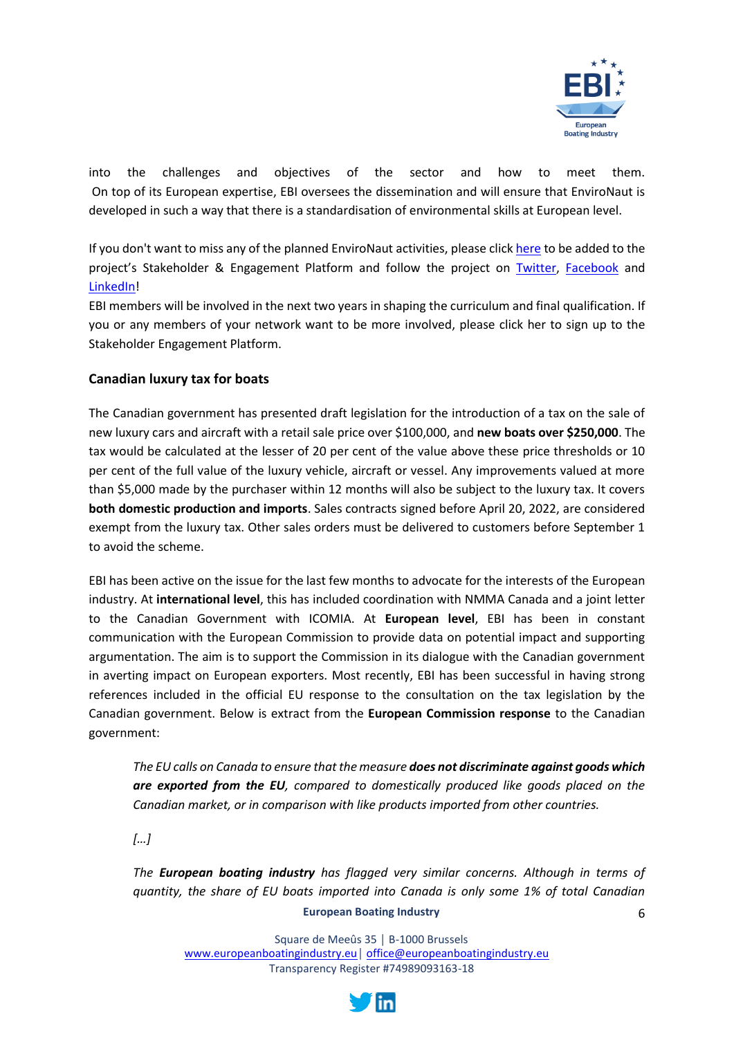

into the challenges and objectives of the sector and how to meet them. On top of its European expertise, EBI oversees the dissemination and will ensure that EnviroNaut is developed in such a way that there is a standardisation of environmental skills at European level.

If you don't want to miss any of the planned EnviroNaut activities, please clic[k here](https://docs.google.com/forms/d/e/1FAIpQLScpY_hkXnZlLEBlsf2HKXaZvTeV857MJGcrYzE2GRrZEz2sMg/viewform?usp=sf_link) to be added to the project's Stakeholder & Engagement Platform and follow the project on [Twitter,](https://twitter.com/Environaut_EU) [Facebook](https://www.facebook.com/EnviroNaut-Project-100458382645497/) and [LinkedIn!](https://www.linkedin.com/company/environaut-eu)

EBI members will be involved in the next two years in shaping the curriculum and final qualification. If you or any members of your network want to be more involved, please click her to sign up to the Stakeholder Engagement Platform.

# <span id="page-5-0"></span>**Canadian luxury tax for boats**

The Canadian government has presented draft legislation for the introduction of a tax on the sale of new luxury cars and aircraft with a retail sale price over \$100,000, and **new boats over \$250,000**. The tax would be calculated at the lesser of 20 per cent of the value above these price thresholds or 10 per cent of the full value of the luxury vehicle, aircraft or vessel. Any improvements valued at more than \$5,000 made by the purchaser within 12 months will also be subject to the luxury tax. It covers **both domestic production and imports**. Sales contracts signed before April 20, 2022, are considered exempt from the luxury tax. Other sales orders must be delivered to customers before September 1 to avoid the scheme.

EBI has been active on the issue for the last few months to advocate for the interests of the European industry. At **international level**, this has included coordination with NMMA Canada and a joint letter to the Canadian Government with ICOMIA. At **European level**, EBI has been in constant communication with the European Commission to provide data on potential impact and supporting argumentation. The aim is to support the Commission in its dialogue with the Canadian government in averting impact on European exporters. Most recently, EBI has been successful in having strong references included in the official EU response to the consultation on the tax legislation by the Canadian government. Below is extract from the **European Commission response** to the Canadian government:

*The EU calls on Canada to ensure that the measure does not discriminate against goods which are exported from the EU, compared to domestically produced like goods placed on the Canadian market, or in comparison with like products imported from other countries.*

*[…]*

6 *The European boating industry has flagged very similar concerns. Although in terms of quantity, the share of EU boats imported into Canada is only some 1% of total Canadian* 

#### **European Boating Industry**

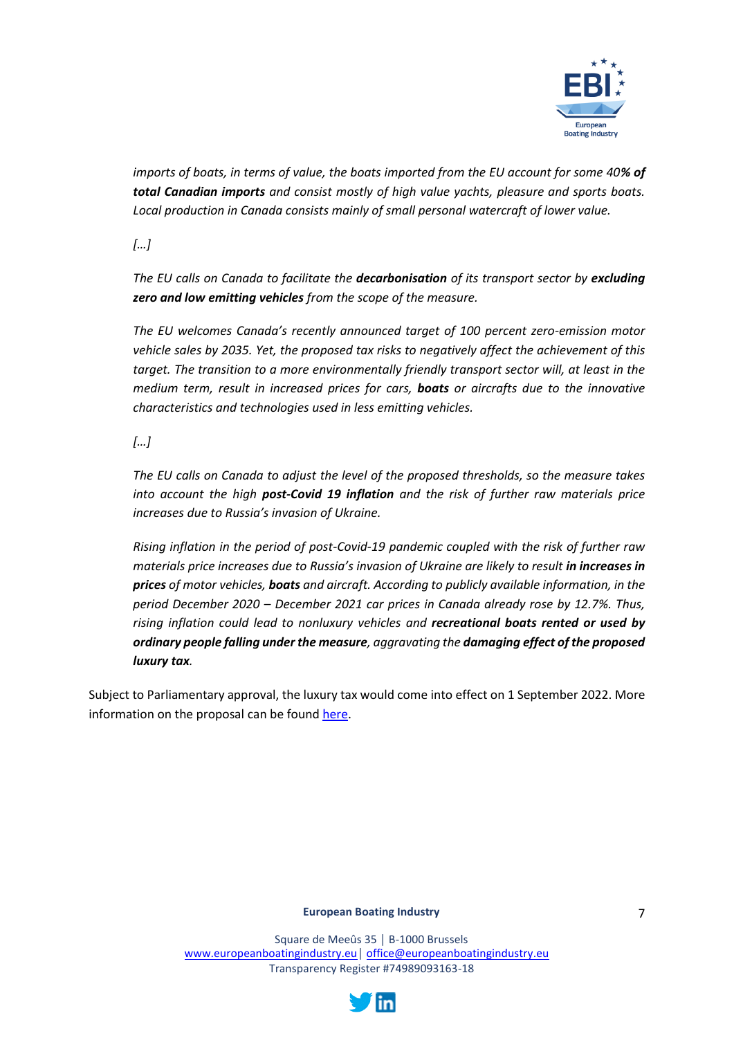

*imports of boats, in terms of value, the boats imported from the EU account for some 40% of total Canadian imports and consist mostly of high value yachts, pleasure and sports boats. Local production in Canada consists mainly of small personal watercraft of lower value.*

*[…]*

*The EU calls on Canada to facilitate the decarbonisation of its transport sector by excluding zero and low emitting vehicles from the scope of the measure.*

*The EU welcomes Canada's recently announced target of 100 percent zero-emission motor vehicle sales by 2035. Yet, the proposed tax risks to negatively affect the achievement of this target. The transition to a more environmentally friendly transport sector will, at least in the medium term, result in increased prices for cars, boats or aircrafts due to the innovative characteristics and technologies used in less emitting vehicles.*

*[…]*

*The EU calls on Canada to adjust the level of the proposed thresholds, so the measure takes into account the high post-Covid 19 inflation and the risk of further raw materials price increases due to Russia's invasion of Ukraine.*

*Rising inflation in the period of post-Covid-19 pandemic coupled with the risk of further raw materials price increases due to Russia's invasion of Ukraine are likely to result in increases in prices of motor vehicles, boats and aircraft. According to publicly available information, in the period December 2020 – December 2021 car prices in Canada already rose by 12.7%. Thus, rising inflation could lead to nonluxury vehicles and recreational boats rented or used by ordinary people falling under the measure, aggravating the damaging effect of the proposed luxury tax.*

Subject to Parliamentary approval, the luxury tax would come into effect on 1 September 2022. More information on the proposal can be foun[d here.](https://www.canada.ca/en/department-finance/news/2022/03/government-releases-draft-legislative-proposals-to-implement-luxury-tax.html)

#### **European Boating Industry**

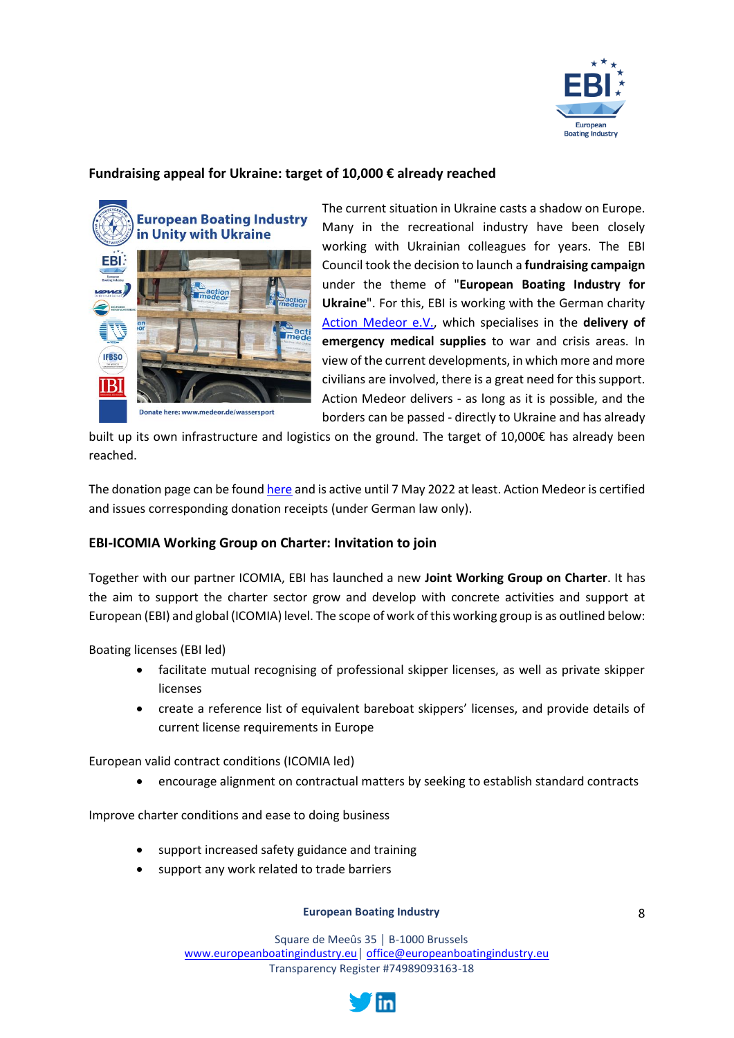

# <span id="page-7-0"></span>**Fundraising appeal for Ukraine: target of 10,000 € already reached**



Donate here: www.medeor.de/wassersport

The current situation in Ukraine casts a shadow on Europe. Many in the recreational industry have been closely working with Ukrainian colleagues for years. The EBI Council took the decision to launch a **fundraising campaign** under the theme of "**European Boating Industry for Ukraine**". For this, EBI is working with the German charity [Action Medeor e.V.,](https://medeor.de/de/component/tags/tag/ukraine.html) which specialises in the **delivery of emergency medical supplies** to war and crisis areas. In view of the current developments, in which more and more civilians are involved, there is a great need for this support. Action Medeor delivers - as long as it is possible, and the borders can be passed - directly to Ukraine and has already

built up its own infrastructure and logistics on the ground. The target of 10,000€ has already been reached.

The donation page can be foun[d here](https://medeor.de/de/spenden-und-helfen/spendenaktion/spendenaktion-detail-englisch.html?cfd=uhg02) and is active until 7 May 2022 at least. Action Medeor is certified and issues corresponding donation receipts (under German law only).

# <span id="page-7-1"></span>**EBI-ICOMIA Working Group on Charter: Invitation to join**

Together with our partner ICOMIA, EBI has launched a new **Joint Working Group on Charter**. It has the aim to support the charter sector grow and develop with concrete activities and support at European (EBI) and global (ICOMIA) level. The scope of work of this working group is as outlined below:

Boating licenses (EBI led)

- facilitate mutual recognising of professional skipper licenses, as well as private skipper licenses
- create a reference list of equivalent bareboat skippers' licenses, and provide details of current license requirements in Europe

European valid contract conditions (ICOMIA led)

• encourage alignment on contractual matters by seeking to establish standard contracts

Improve charter conditions and ease to doing business

- support increased safety guidance and training
- support any work related to trade barriers

#### **European Boating Industry**

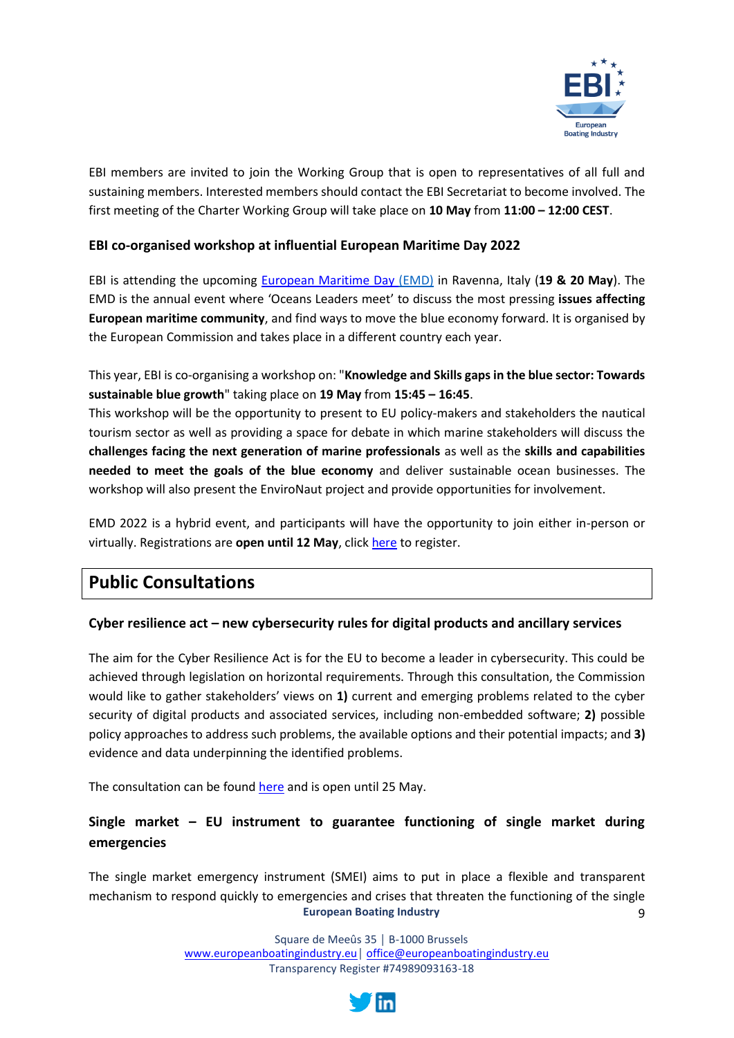

EBI members are invited to join the Working Group that is open to representatives of all full and sustaining members. Interested members should contact the EBI Secretariat to become involved. The first meeting of the Charter Working Group will take place on **10 May** from **11:00 – 12:00 CEST**.

# <span id="page-8-0"></span>**EBI co-organised workshop at influential European Maritime Day 2022**

EBI is attending the upcoming [European Maritime Day \(](https://ec.europa.eu/maritimeaffairs/maritimeday/index_en)EMD) in Ravenna, Italy (**19 & 20 May**). The EMD is the annual event where 'Oceans Leaders meet' to discuss the most pressing **issues affecting European maritime community**, and find ways to move the blue economy forward. It is organised by the European Commission and takes place in a different country each year.

This year, EBI is co-organising a workshop on: "**Knowledge and Skills gaps in the blue sector: Towards sustainable blue growth**" taking place on **19 May** from **15:45 – 16:45**.

This workshop will be the opportunity to present to EU policy-makers and stakeholders the nautical tourism sector as well as providing a space for debate in which marine stakeholders will discuss the **challenges facing the next generation of marine professionals** as well as the **skills and capabilities needed to meet the goals of the blue economy** and deliver sustainable ocean businesses. The workshop will also present the EnviroNaut project and provide opportunities for involvement.

EMD 2022 is a hybrid event, and participants will have the opportunity to join either in-person or virtually. Registrations are **open until 12 May**, click [here](https://european-maritime-day-2022.b2match.io/) to register.

# <span id="page-8-1"></span>**Public Consultations**

# <span id="page-8-2"></span>**Cyber resilience act – new cybersecurity rules for digital products and ancillary services**

The aim for the Cyber Resilience Act is for the EU to become a leader in cybersecurity. This could be achieved through legislation on horizontal requirements. Through this consultation, the Commission would like to gather stakeholders' views on **1)** current and emerging problems related to the cyber security of digital products and associated services, including non-embedded software; **2)** possible policy approaches to address such problems, the available options and their potential impacts; and **3)** evidence and data underpinning the identified problems.

The consultation can be found [here](https://ec.europa.eu/info/law/better-regulation/have-your-say/initiatives/13410-Cyber-Resilience-Act/public-consultation_en) and is open until 25 May.

# <span id="page-8-3"></span>**Single market – EU instrument to guarantee functioning of single market during emergencies**

**European Boating Industry** 9 The single market emergency instrument (SMEI) aims to put in place a flexible and transparent mechanism to respond quickly to emergencies and crises that threaten the functioning of the single

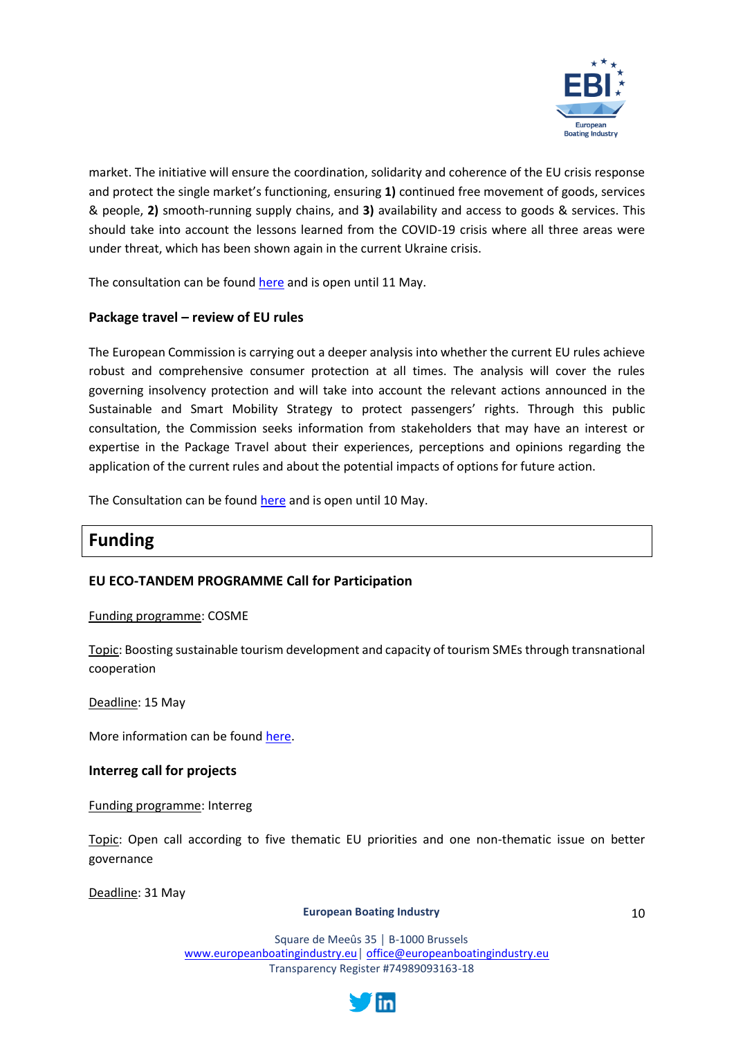

market. The initiative will ensure the coordination, solidarity and coherence of the EU crisis response and protect the single market's functioning, ensuring **1)** continued free movement of goods, services & people, **2)** smooth-running supply chains, and **3)** availability and access to goods & services. This should take into account the lessons learned from the COVID-19 crisis where all three areas were under threat, which has been shown again in the current Ukraine crisis.

The consultation can be found [here](https://ec.europa.eu/info/law/better-regulation/have-your-say/initiatives/13181-Single-market-new-EU-instrument-to-guarantee-functioning-of-single-market-during-emergencies_en) and is open until 11 May.

# <span id="page-9-0"></span>**Package travel – review of EU rules**

The European Commission is carrying out a deeper analysis into whether the current EU rules achieve robust and comprehensive consumer protection at all times. The analysis will cover the rules governing insolvency protection and will take into account the relevant actions announced in the Sustainable and Smart Mobility Strategy to protect passengers' rights. Through this public consultation, the Commission seeks information from stakeholders that may have an interest or expertise in the Package Travel about their experiences, perceptions and opinions regarding the application of the current rules and about the potential impacts of options for future action.

The Consultation can be found [here](https://ec.europa.eu/info/law/better-regulation/have-your-say/initiatives/13117-Package-travel-review-of-EU-rules_en) and is open until 10 May.

# <span id="page-9-1"></span>**Funding**

# <span id="page-9-2"></span>**EU ECO-TANDEM PROGRAMME Call for Participation**

Funding programme: COSME

Topic: Boosting sustainable tourism development and capacity of tourism SMEs through transnational cooperation

Deadline: 15 May

More information can be foun[d here.](https://ec.europa.eu/info/funding-tenders/opportunities/portal/screen/opportunities/competitive-calls-cs/209;callCode=null;freeTextSearchKeyword=tourism;matchWholeText=true;typeCodes=1,2,8;statusCodes=31094501,31094502;programmePeriod=null;programCcm2Id=null;programDivisionCode=null;focusAreaCode=null;destination=null;mission=null;geographicalZonesCode=null;programmeDivisionProspect=null;startDateLte=null;startDateGte=null;crossCuttingPriorityCode=null;cpvCode=null;performanceOfDelivery=null;sortQuery=sortStatus;orderBy=asc;onlyTenders=false;topicListKey=topicSearchTablePageState)

#### <span id="page-9-3"></span>**Interreg call for projects**

Funding programme: Interreg

Topic: Open call according to five thematic EU priorities and one non-thematic issue on better governance

Deadline: 31 May

#### **European Boating Industry**